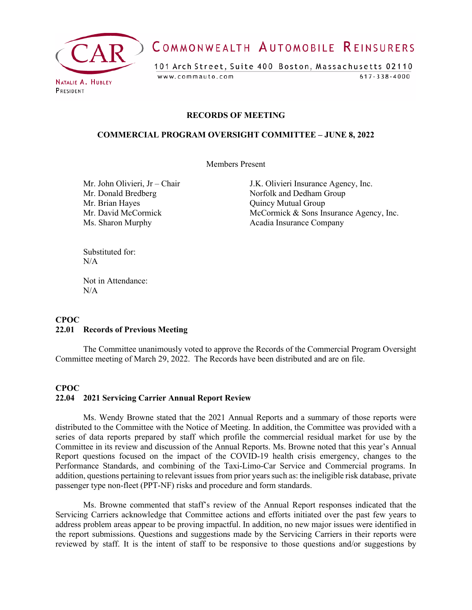

# COMMONWEALTH AUTOMOBILE REINSURERS

101 Arch Street, Suite 400 Boston, Massachusetts 02110 www.commauto.com  $617 - 338 - 4000$ 

PRESIDENT

#### **RECORDS OF MEETING**

#### **COMMERCIAL PROGRAM OVERSIGHT COMMITTEE – JUNE 8, 2022**

Members Present

Mr. Brian Hayes **Quincy Mutual Group** Ms. Sharon Murphy Acadia Insurance Company

Mr. John Olivieri, Jr – Chair J.K. Olivieri Insurance Agency, Inc. Mr. Donald Bredberg Norfolk and Dedham Group Mr. David McCormick McCormick & Sons Insurance Agency, Inc.

Substituted for: N/A

Not in Attendance:  $N/A$ 

#### **CPOC 22.01 Records of Previous Meeting**

The Committee unanimously voted to approve the Records of the Commercial Program Oversight Committee meeting of March 29, 2022. The Records have been distributed and are on file.

## **CPOC 22.04 2021 Servicing Carrier Annual Report Review**

Ms. Wendy Browne stated that the 2021 Annual Reports and a summary of those reports were distributed to the Committee with the Notice of Meeting. In addition, the Committee was provided with a series of data reports prepared by staff which profile the commercial residual market for use by the Committee in its review and discussion of the Annual Reports. Ms. Browne noted that this year's Annual Report questions focused on the impact of the COVID-19 health crisis emergency, changes to the Performance Standards, and combining of the Taxi-Limo-Car Service and Commercial programs. In addition, questions pertaining to relevant issues from prior years such as: the ineligible risk database, private passenger type non-fleet (PPT-NF) risks and procedure and form standards.

Ms. Browne commented that staff's review of the Annual Report responses indicated that the Servicing Carriers acknowledge that Committee actions and efforts initiated over the past few years to address problem areas appear to be proving impactful. In addition, no new major issues were identified in the report submissions. Questions and suggestions made by the Servicing Carriers in their reports were reviewed by staff. It is the intent of staff to be responsive to those questions and/or suggestions by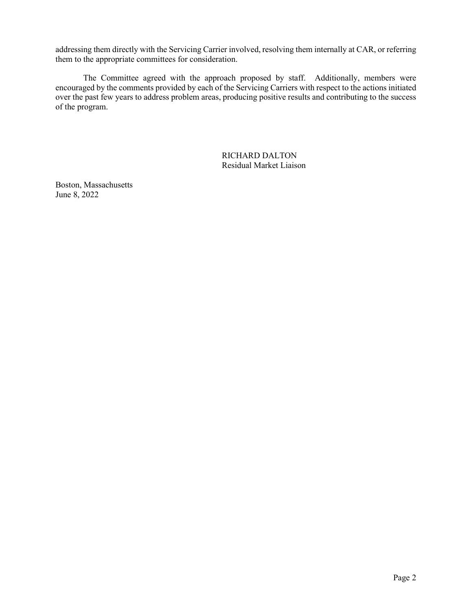addressing them directly with the Servicing Carrier involved, resolving them internally at CAR, or referring them to the appropriate committees for consideration.

The Committee agreed with the approach proposed by staff. Additionally, members were encouraged by the comments provided by each of the Servicing Carriers with respect to the actions initiated over the past few years to address problem areas, producing positive results and contributing to the success of the program.

> RICHARD DALTON Residual Market Liaison

Boston, Massachusetts June 8, 2022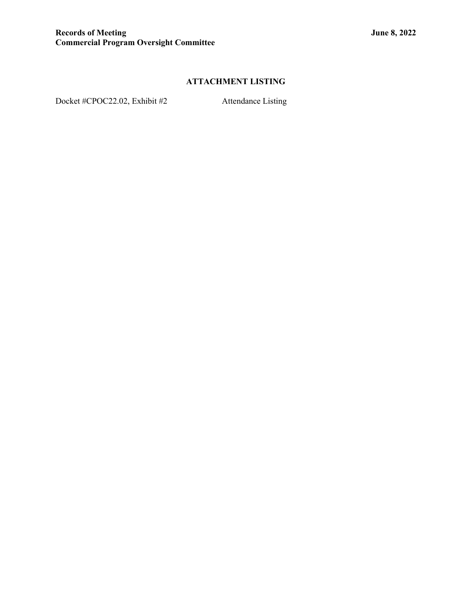## **ATTACHMENT LISTING**

Docket #CPOC22.02, Exhibit #2 Attendance Listing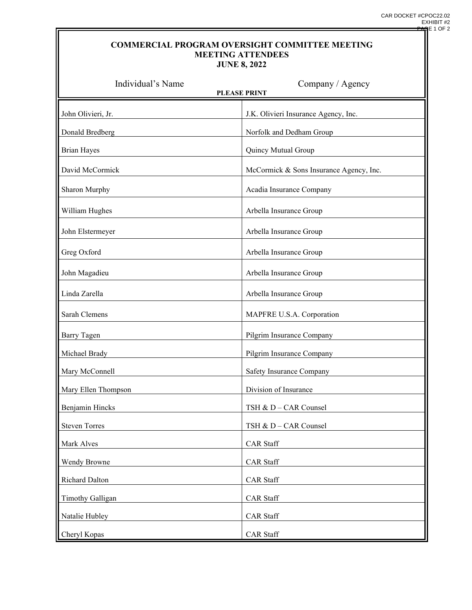### **COMMERCIAL PROGRAM OVERSIGHT COMMITTEE MEETING MEETING ATTENDEES JUNE 8, 2022**

| Individual's Name<br>Company / Agency<br><b>PLEASE PRINT</b> |                                         |
|--------------------------------------------------------------|-----------------------------------------|
| John Olivieri, Jr.                                           | J.K. Olivieri Insurance Agency, Inc.    |
| Donald Bredberg                                              | Norfolk and Dedham Group                |
| <b>Brian Hayes</b>                                           | Quincy Mutual Group                     |
| David McCormick                                              | McCormick & Sons Insurance Agency, Inc. |
| Sharon Murphy                                                | Acadia Insurance Company                |
| William Hughes                                               | Arbella Insurance Group                 |
| John Elstermeyer                                             | Arbella Insurance Group                 |
| Greg Oxford                                                  | Arbella Insurance Group                 |
| John Magadieu                                                | Arbella Insurance Group                 |
| Linda Zarella                                                | Arbella Insurance Group                 |
| Sarah Clemens                                                | MAPFRE U.S.A. Corporation               |
| <b>Barry Tagen</b>                                           | Pilgrim Insurance Company               |
| Michael Brady                                                | Pilgrim Insurance Company               |
| Mary McConnell                                               | Safety Insurance Company                |
| Mary Ellen Thompson                                          | Division of Insurance                   |
| Benjamin Hincks                                              | TSH & D - CAR Counsel                   |
| <b>Steven Torres</b>                                         | TSH & D - CAR Counsel                   |
| Mark Alves                                                   | <b>CAR</b> Staff                        |
| Wendy Browne                                                 | <b>CAR</b> Staff                        |
| Richard Dalton                                               | <b>CAR</b> Staff                        |
| <b>Timothy Galligan</b>                                      | <b>CAR</b> Staff                        |
| Natalie Hubley                                               | <b>CAR</b> Staff                        |
| Cheryl Kopas                                                 | <b>CAR</b> Staff                        |